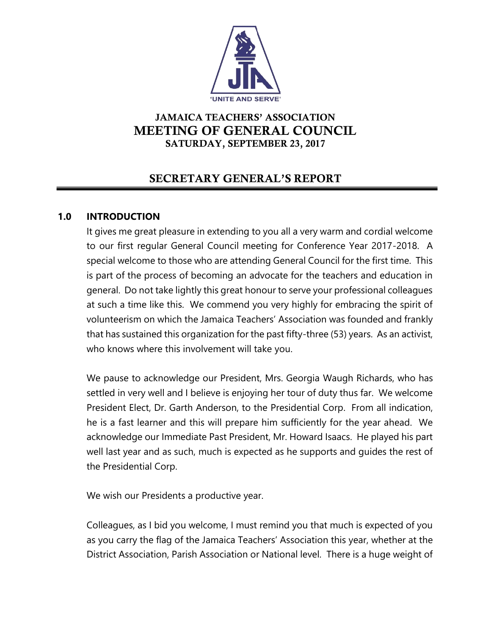

# JAMAICA TEACHERS' ASSOCIATION MEETING OF GENERAL COUNCIL SATURDAY, SEPTEMBER 23, 2017

# SECRETARY GENERAL'S REPORT

# **1.0 INTRODUCTION**

It gives me great pleasure in extending to you all a very warm and cordial welcome to our first regular General Council meeting for Conference Year 2017-2018. A special welcome to those who are attending General Council for the first time. This is part of the process of becoming an advocate for the teachers and education in general. Do not take lightly this great honour to serve your professional colleagues at such a time like this. We commend you very highly for embracing the spirit of volunteerism on which the Jamaica Teachers' Association was founded and frankly that has sustained this organization for the past fifty-three (53) years. As an activist, who knows where this involvement will take you.

We pause to acknowledge our President, Mrs. Georgia Waugh Richards, who has settled in very well and I believe is enjoying her tour of duty thus far. We welcome President Elect, Dr. Garth Anderson, to the Presidential Corp. From all indication, he is a fast learner and this will prepare him sufficiently for the year ahead. We acknowledge our Immediate Past President, Mr. Howard Isaacs. He played his part well last year and as such, much is expected as he supports and guides the rest of the Presidential Corp.

We wish our Presidents a productive year.

Colleagues, as I bid you welcome, I must remind you that much is expected of you as you carry the flag of the Jamaica Teachers' Association this year, whether at the District Association, Parish Association or National level. There is a huge weight of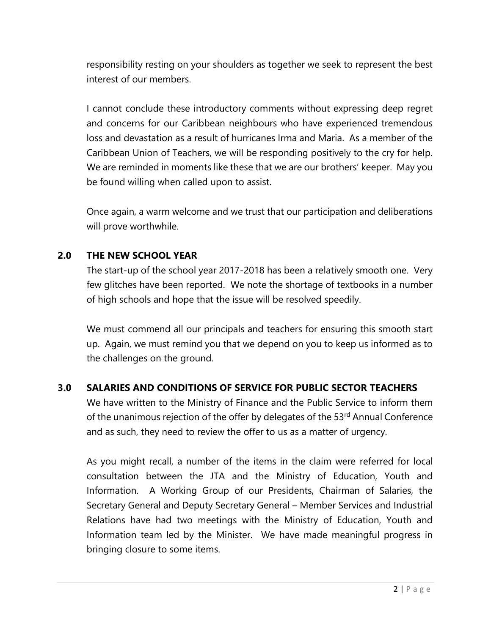responsibility resting on your shoulders as together we seek to represent the best interest of our members.

I cannot conclude these introductory comments without expressing deep regret and concerns for our Caribbean neighbours who have experienced tremendous loss and devastation as a result of hurricanes Irma and Maria. As a member of the Caribbean Union of Teachers, we will be responding positively to the cry for help. We are reminded in moments like these that we are our brothers' keeper. May you be found willing when called upon to assist.

Once again, a warm welcome and we trust that our participation and deliberations will prove worthwhile.

# **2.0 THE NEW SCHOOL YEAR**

The start-up of the school year 2017-2018 has been a relatively smooth one. Very few glitches have been reported. We note the shortage of textbooks in a number of high schools and hope that the issue will be resolved speedily.

We must commend all our principals and teachers for ensuring this smooth start up. Again, we must remind you that we depend on you to keep us informed as to the challenges on the ground.

# **3.0 SALARIES AND CONDITIONS OF SERVICE FOR PUBLIC SECTOR TEACHERS**

We have written to the Ministry of Finance and the Public Service to inform them of the unanimous rejection of the offer by delegates of the 53<sup>rd</sup> Annual Conference and as such, they need to review the offer to us as a matter of urgency.

As you might recall, a number of the items in the claim were referred for local consultation between the JTA and the Ministry of Education, Youth and Information. A Working Group of our Presidents, Chairman of Salaries, the Secretary General and Deputy Secretary General – Member Services and Industrial Relations have had two meetings with the Ministry of Education, Youth and Information team led by the Minister. We have made meaningful progress in bringing closure to some items.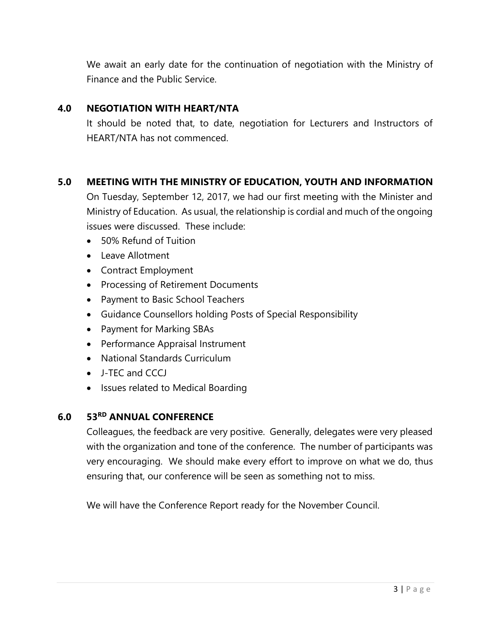We await an early date for the continuation of negotiation with the Ministry of Finance and the Public Service.

#### **4.0 NEGOTIATION WITH HEART/NTA**

It should be noted that, to date, negotiation for Lecturers and Instructors of HEART/NTA has not commenced.

# **5.0 MEETING WITH THE MINISTRY OF EDUCATION, YOUTH AND INFORMATION**

On Tuesday, September 12, 2017, we had our first meeting with the Minister and Ministry of Education. As usual, the relationship is cordial and much of the ongoing issues were discussed. These include:

- 50% Refund of Tuition
- Leave Allotment
- Contract Employment
- Processing of Retirement Documents
- Payment to Basic School Teachers
- Guidance Counsellors holding Posts of Special Responsibility
- Payment for Marking SBAs
- Performance Appraisal Instrument
- National Standards Curriculum
- J-TEC and CCCJ
- Issues related to Medical Boarding

#### **6.0 53RD ANNUAL CONFERENCE**

Colleagues, the feedback are very positive. Generally, delegates were very pleased with the organization and tone of the conference. The number of participants was very encouraging. We should make every effort to improve on what we do, thus ensuring that, our conference will be seen as something not to miss.

We will have the Conference Report ready for the November Council.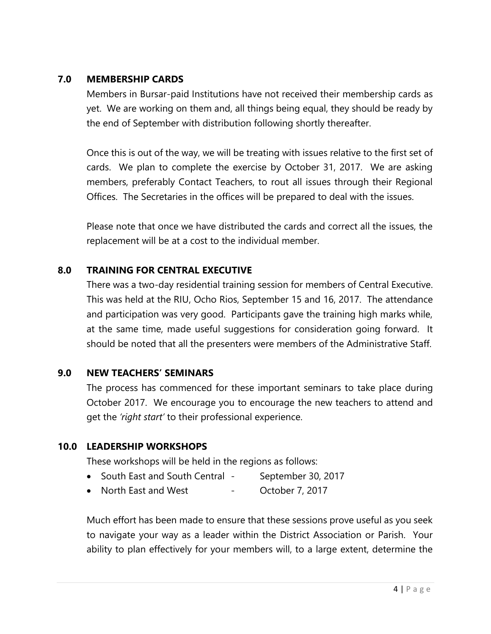## **7.0 MEMBERSHIP CARDS**

Members in Bursar-paid Institutions have not received their membership cards as yet. We are working on them and, all things being equal, they should be ready by the end of September with distribution following shortly thereafter.

Once this is out of the way, we will be treating with issues relative to the first set of cards. We plan to complete the exercise by October 31, 2017. We are asking members, preferably Contact Teachers, to rout all issues through their Regional Offices. The Secretaries in the offices will be prepared to deal with the issues.

Please note that once we have distributed the cards and correct all the issues, the replacement will be at a cost to the individual member.

# **8.0 TRAINING FOR CENTRAL EXECUTIVE**

There was a two-day residential training session for members of Central Executive. This was held at the RIU, Ocho Rios, September 15 and 16, 2017. The attendance and participation was very good. Participants gave the training high marks while, at the same time, made useful suggestions for consideration going forward. It should be noted that all the presenters were members of the Administrative Staff.

# **9.0 NEW TEACHERS' SEMINARS**

The process has commenced for these important seminars to take place during October 2017. We encourage you to encourage the new teachers to attend and get the *'right start'* to their professional experience.

# **10.0 LEADERSHIP WORKSHOPS**

These workshops will be held in the regions as follows:

- South East and South Central September 30, 2017
- North East and West October 7, 2017

Much effort has been made to ensure that these sessions prove useful as you seek to navigate your way as a leader within the District Association or Parish. Your ability to plan effectively for your members will, to a large extent, determine the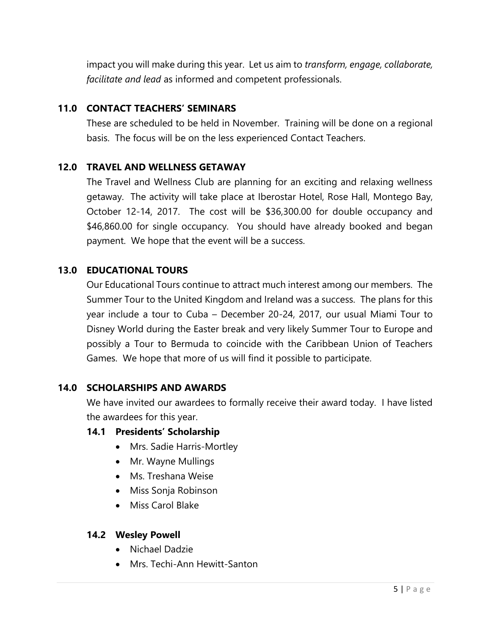impact you will make during this year. Let us aim to *transform, engage, collaborate, facilitate and lead* as informed and competent professionals.

# **11.0 CONTACT TEACHERS' SEMINARS**

These are scheduled to be held in November. Training will be done on a regional basis. The focus will be on the less experienced Contact Teachers.

# **12.0 TRAVEL AND WELLNESS GETAWAY**

The Travel and Wellness Club are planning for an exciting and relaxing wellness getaway. The activity will take place at Iberostar Hotel, Rose Hall, Montego Bay, October 12-14, 2017. The cost will be \$36,300.00 for double occupancy and \$46,860.00 for single occupancy. You should have already booked and began payment. We hope that the event will be a success.

# **13.0 EDUCATIONAL TOURS**

Our Educational Tours continue to attract much interest among our members. The Summer Tour to the United Kingdom and Ireland was a success. The plans for this year include a tour to Cuba – December 20-24, 2017, our usual Miami Tour to Disney World during the Easter break and very likely Summer Tour to Europe and possibly a Tour to Bermuda to coincide with the Caribbean Union of Teachers Games. We hope that more of us will find it possible to participate.

# **14.0 SCHOLARSHIPS AND AWARDS**

We have invited our awardees to formally receive their award today. I have listed the awardees for this year.

# **14.1 Presidents' Scholarship**

- Mrs. Sadie Harris-Mortley
- Mr. Wayne Mullings
- Ms. Treshana Weise
- Miss Sonja Robinson
- Miss Carol Blake

#### **14.2 Wesley Powell**

- Nichael Dadzie
- Mrs. Techi-Ann Hewitt-Santon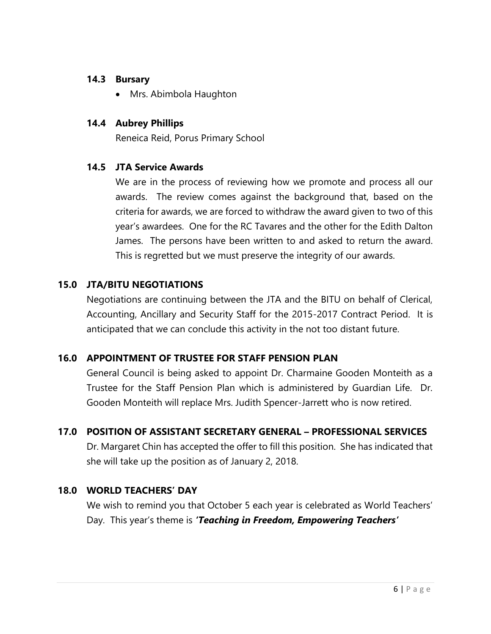#### **14.3 Bursary**

• Mrs. Abimbola Haughton

# **14.4 Aubrey Phillips**

Reneica Reid, Porus Primary School

# **14.5 JTA Service Awards**

We are in the process of reviewing how we promote and process all our awards. The review comes against the background that, based on the criteria for awards, we are forced to withdraw the award given to two of this year's awardees. One for the RC Tavares and the other for the Edith Dalton James. The persons have been written to and asked to return the award. This is regretted but we must preserve the integrity of our awards.

# **15.0 JTA/BITU NEGOTIATIONS**

Negotiations are continuing between the JTA and the BITU on behalf of Clerical, Accounting, Ancillary and Security Staff for the 2015-2017 Contract Period. It is anticipated that we can conclude this activity in the not too distant future.

# **16.0 APPOINTMENT OF TRUSTEE FOR STAFF PENSION PLAN**

General Council is being asked to appoint Dr. Charmaine Gooden Monteith as a Trustee for the Staff Pension Plan which is administered by Guardian Life. Dr. Gooden Monteith will replace Mrs. Judith Spencer-Jarrett who is now retired.

# **17.0 POSITION OF ASSISTANT SECRETARY GENERAL – PROFESSIONAL SERVICES**

Dr. Margaret Chin has accepted the offer to fill this position. She has indicated that she will take up the position as of January 2, 2018.

# **18.0 WORLD TEACHERS' DAY**

We wish to remind you that October 5 each year is celebrated as World Teachers' Day. This year's theme is *'Teaching in Freedom, Empowering Teachers'*